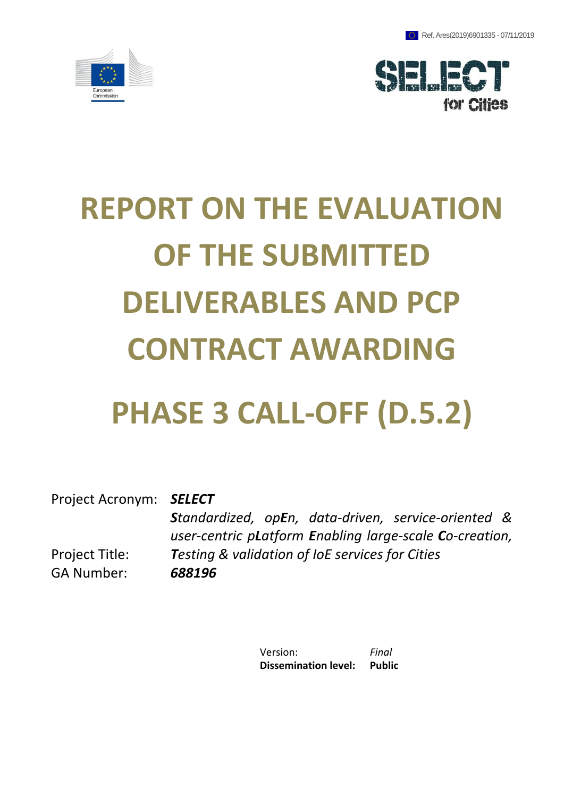



# **REPORT ON THE EVALUATION OF THE SUBMITTED DELIVERABLES AND PCP CONTRACT AWARDING**

## **PHASE 3 CALL-OFF (D.5.2)**

Project Acronym: *SELECT* Project Title: *Standardized, opEn, data-driven, service-oriented & user-centric pLatform Enabling large-scale Co-creation, Testing & validation of IoE services for Cities* GA Number: *688196*

> Version: *Final* **Dissemination level: Public**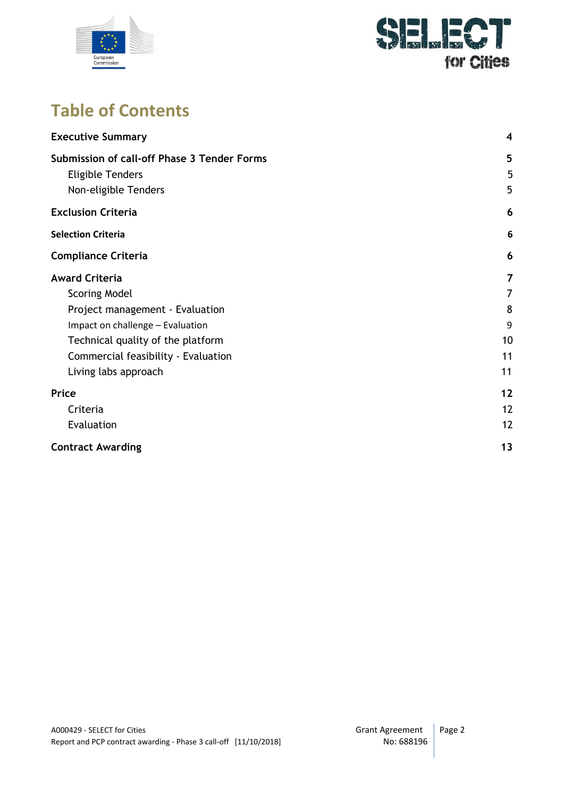



## **Table of Contents**

| <b>Executive Summary</b>                                                                       | 4              |
|------------------------------------------------------------------------------------------------|----------------|
| Submission of call-off Phase 3 Tender Forms<br><b>Eligible Tenders</b><br>Non-eligible Tenders | 5<br>5<br>5    |
| <b>Exclusion Criteria</b>                                                                      | 6              |
| <b>Selection Criteria</b>                                                                      | 6              |
| <b>Compliance Criteria</b>                                                                     | 6              |
| <b>Award Criteria</b>                                                                          | $\overline{7}$ |
| <b>Scoring Model</b>                                                                           | $\overline{7}$ |
| Project management - Evaluation                                                                | 8              |
| Impact on challenge - Evaluation                                                               | 9              |
| Technical quality of the platform                                                              | 10             |
| Commercial feasibility - Evaluation                                                            | 11             |
| Living labs approach                                                                           | 11             |
| Price                                                                                          | 12             |
| Criteria                                                                                       | 12             |
| Evaluation                                                                                     | 12             |
| <b>Contract Awarding</b>                                                                       | 13             |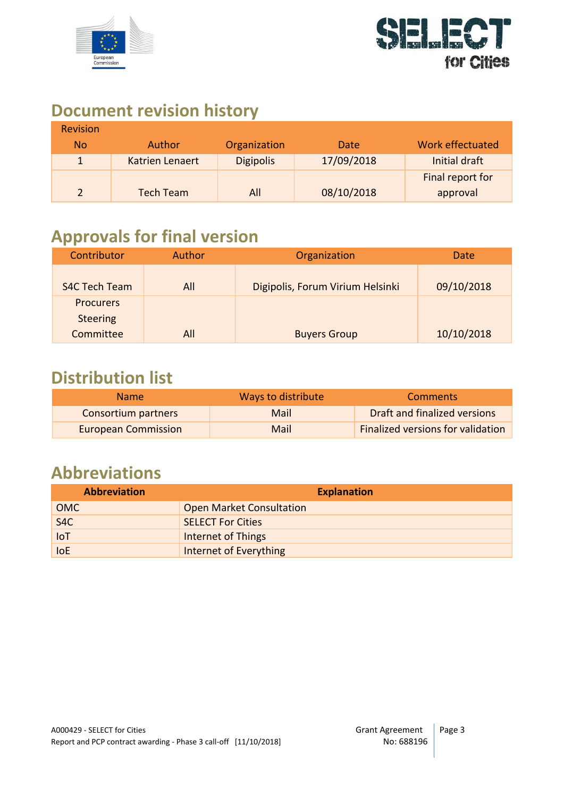



## **Document revision history**

| <b>Revision</b> |                  |                  |            |                         |
|-----------------|------------------|------------------|------------|-------------------------|
| <b>No</b>       | <b>Author</b>    | Organization     | Date       | <b>Work effectuated</b> |
| $\mathbf 1$     | Katrien Lenaert  | <b>Digipolis</b> | 17/09/2018 | Initial draft           |
|                 |                  |                  |            | Final report for        |
|                 | <b>Tech Team</b> | All              | 08/10/2018 | approval                |

## **Approvals for final version**

| Contributor          | Author | Organization                     | Date       |
|----------------------|--------|----------------------------------|------------|
| <b>S4C Tech Team</b> | All    | Digipolis, Forum Virium Helsinki | 09/10/2018 |
| <b>Procurers</b>     |        |                                  |            |
| <b>Steering</b>      |        |                                  |            |
| Committee            | All    | <b>Buyers Group</b>              | 10/10/2018 |

#### **Distribution list**

| Name.                      | Ways to distribute | <b>Comments</b>                   |
|----------------------------|--------------------|-----------------------------------|
| Consortium partners        | Mail               | Draft and finalized versions      |
| <b>European Commission</b> | Mail               | Finalized versions for validation |

## **Abbreviations**

| <b>Abbreviation</b> | <b>Explanation</b>              |
|---------------------|---------------------------------|
| <b>OMC</b>          | <b>Open Market Consultation</b> |
| S <sub>4</sub> C    | <b>SELECT For Cities</b>        |
| <b>IoT</b>          | <b>Internet of Things</b>       |
| <b>IoE</b>          | Internet of Everything          |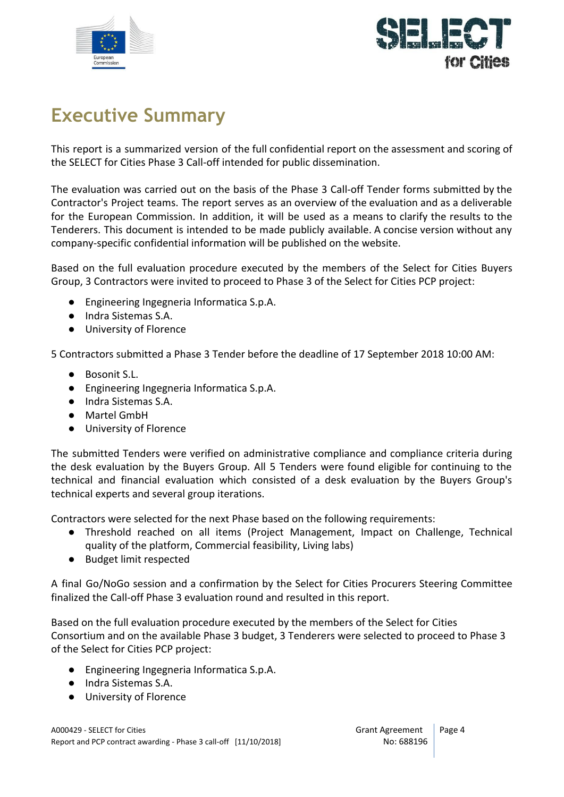



## <span id="page-3-0"></span>**Executive Summary**

This report is a summarized version of the full confidential report on the assessment and scoring of the SELECT for Cities Phase 3 Call-off intended for public dissemination.

The evaluation was carried out on the basis of the Phase 3 Call-off Tender forms submitted by the Contractor's Project teams. The report serves as an overview of the evaluation and as a deliverable for the European Commission. In addition, it will be used as a means to clarify the results to the Tenderers. This document is intended to be made publicly available. A concise version without any company-specific confidential information will be published on the website.

Based on the full evaluation procedure executed by the members of the Select for Cities Buyers Group, 3 Contractors were invited to proceed to Phase 3 of the Select for Cities PCP project:

- Engineering Ingegneria Informatica S.p.A.
- Indra Sistemas S.A.
- University of Florence

5 Contractors submitted a Phase 3 Tender before the deadline of 17 September 2018 10:00 AM:

- Bosonit S.L.
- Engineering Ingegneria Informatica S.p.A.
- Indra Sistemas S.A.
- Martel GmbH
- University of Florence

The submitted Tenders were verified on administrative compliance and compliance criteria during the desk evaluation by the Buyers Group. All 5 Tenders were found eligible for continuing to the technical and financial evaluation which consisted of a desk evaluation by the Buyers Group's technical experts and several group iterations.

Contractors were selected for the next Phase based on the following requirements:

- Threshold reached on all items (Project Management, Impact on Challenge, Technical quality of the platform, Commercial feasibility, Living labs)
- Budget limit respected

A final Go/NoGo session and a confirmation by the Select for Cities Procurers Steering Committee finalized the Call-off Phase 3 evaluation round and resulted in this report.

Based on the full evaluation procedure executed by the members of the Select for Cities Consortium and on the available Phase 3 budget, 3 Tenderers were selected to proceed to Phase 3 of the Select for Cities PCP project:

- Engineering Ingegneria Informatica S.p.A.
- Indra Sistemas S.A.
- University of Florence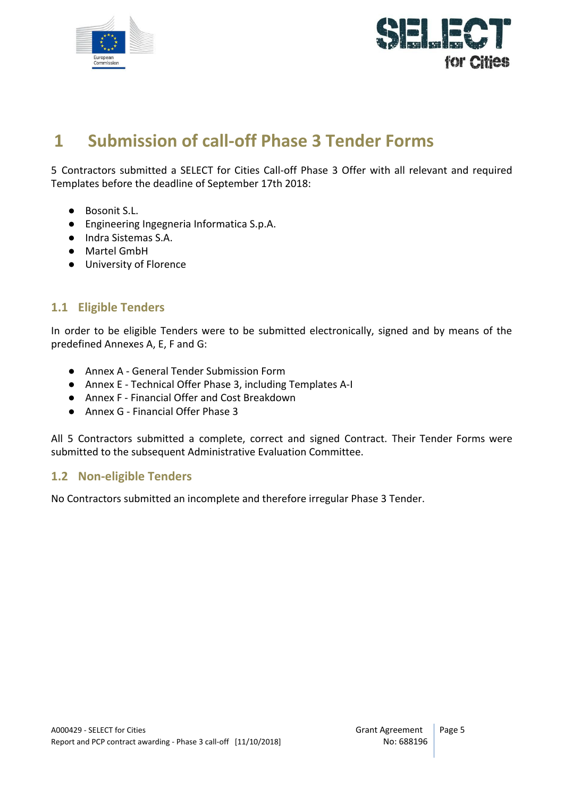



## <span id="page-4-0"></span>**1 Submission of call-off Phase 3 Tender Forms**

5 Contractors submitted a SELECT for Cities Call-off Phase 3 Offer with all relevant and required Templates before the deadline of September 17th 2018:

- Bosonit S.L.
- Engineering Ingegneria Informatica S.p.A.
- Indra Sistemas S.A.
- Martel GmbH
- University of Florence

#### <span id="page-4-1"></span>**1.1 Eligible Tenders**

In order to be eligible Tenders were to be submitted electronically, signed and by means of the predefined Annexes A, E, F and G:

- Annex A General Tender Submission Form
- Annex E Technical Offer Phase 3, including Templates A-I
- Annex F Financial Offer and Cost Breakdown
- Annex G Financial Offer Phase 3

All 5 Contractors submitted a complete, correct and signed Contract. Their Tender Forms were submitted to the subsequent Administrative Evaluation Committee.

#### <span id="page-4-2"></span>**1.2 Non-eligible Tenders**

No Contractors submitted an incomplete and therefore irregular Phase 3 Tender.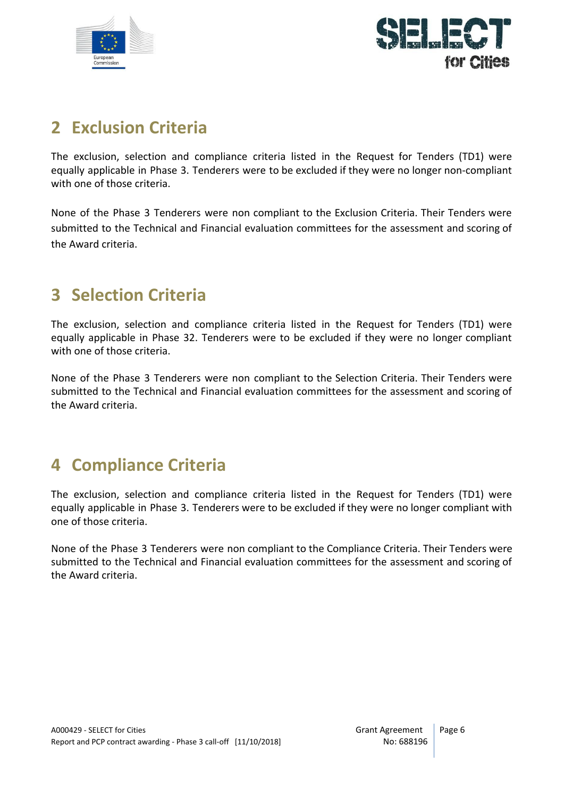



### <span id="page-5-0"></span>**2 Exclusion Criteria**

The exclusion, selection and compliance criteria listed in the Request for Tenders (TD1) were equally applicable in Phase 3. Tenderers were to be excluded if they were no longer non-compliant with one of those criteria.

None of the Phase 3 Tenderers were non compliant to the Exclusion Criteria. Their Tenders were submitted to the Technical and Financial evaluation committees for the assessment and scoring of the Award criteria.

## <span id="page-5-1"></span>**3 Selection Criteria**

The exclusion, selection and compliance criteria listed in the Request for Tenders (TD1) were equally applicable in Phase 32. Tenderers were to be excluded if they were no longer compliant with one of those criteria.

None of the Phase 3 Tenderers were non compliant to the Selection Criteria. Their Tenders were submitted to the Technical and Financial evaluation committees for the assessment and scoring of the Award criteria.

## <span id="page-5-2"></span>**4 Compliance Criteria**

The exclusion, selection and compliance criteria listed in the Request for Tenders (TD1) were equally applicable in Phase 3. Tenderers were to be excluded if they were no longer compliant with one of those criteria.

None of the Phase 3 Tenderers were non compliant to the Compliance Criteria. Their Tenders were submitted to the Technical and Financial evaluation committees for the assessment and scoring of the Award criteria.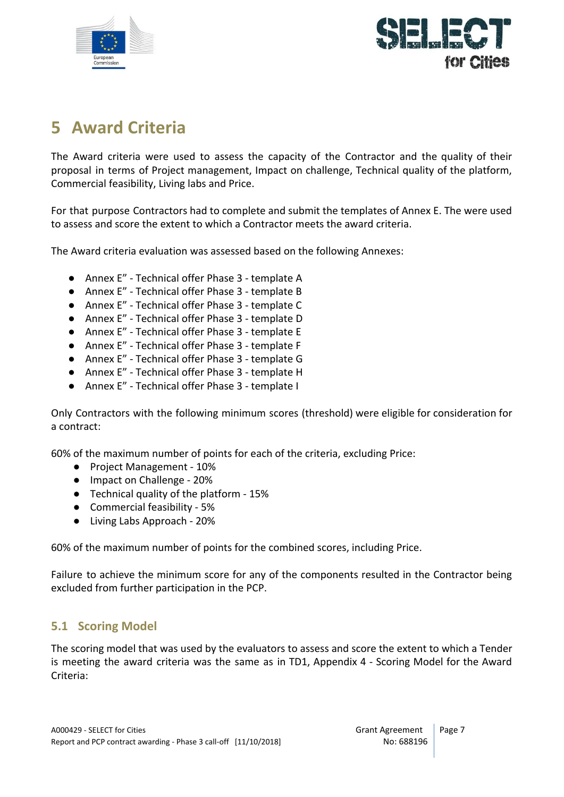



## <span id="page-6-0"></span>**5 Award Criteria**

The Award criteria were used to assess the capacity of the Contractor and the quality of their proposal in terms of Project management, Impact on challenge, Technical quality of the platform, Commercial feasibility, Living labs and Price.

For that purpose Contractors had to complete and submit the templates of Annex E. The were used to assess and score the extent to which a Contractor meets the award criteria.

The Award criteria evaluation was assessed based on the following Annexes:

- Annex E" Technical offer Phase 3 template A
- Annex E" Technical offer Phase 3 template B
- Annex E" Technical offer Phase 3 template C
- Annex E" Technical offer Phase 3 template D
- Annex E" Technical offer Phase 3 template E
- Annex E" Technical offer Phase 3 template F
- Annex E" Technical offer Phase 3 template G
- Annex E" Technical offer Phase 3 template H
- Annex E" Technical offer Phase 3 template I

Only Contractors with the following minimum scores (threshold) were eligible for consideration for a contract:

60% of the maximum number of points for each of the criteria, excluding Price:

- Project Management 10%
- Impact on Challenge 20%
- Technical quality of the platform 15%
- Commercial feasibility 5%
- Living Labs Approach 20%

60% of the maximum number of points for the combined scores, including Price.

Failure to achieve the minimum score for any of the components resulted in the Contractor being excluded from further participation in the PCP.

#### <span id="page-6-1"></span>**5.1 Scoring Model**

The scoring model that was used by the evaluators to assess and score the extent to which a Tender is meeting the award criteria was the same as in TD1, Appendix 4 - Scoring Model for the Award Criteria: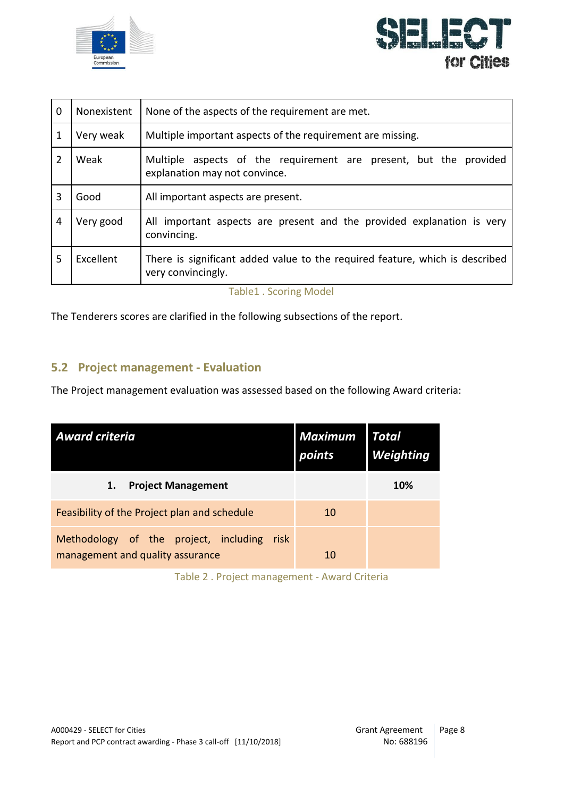



| $\mathbf 0$   | Nonexistent | None of the aspects of the requirement are met.                                                    |  |  |
|---------------|-------------|----------------------------------------------------------------------------------------------------|--|--|
| $\mathbf{1}$  | Very weak   | Multiple important aspects of the requirement are missing.                                         |  |  |
| $\mathcal{P}$ | Weak        | Multiple aspects of the requirement are present, but the provided<br>explanation may not convince. |  |  |
| 3             | Good        | All important aspects are present.                                                                 |  |  |
| 4             | Very good   | All important aspects are present and the provided explanation is very<br>convincing.              |  |  |
| .5            | Excellent   | There is significant added value to the required feature, which is described<br>very convincingly. |  |  |

Table1 . Scoring Model

The Tenderers scores are clarified in the following subsections of the report.

#### <span id="page-7-0"></span>**5.2 Project management - Evaluation**

The Project management evaluation was assessed based on the following Award criteria:

| <b>Award criteria</b>                                                             | <b>Maximum</b><br>points | Total<br><b>Weighting</b> |
|-----------------------------------------------------------------------------------|--------------------------|---------------------------|
| <b>Project Management</b><br>1.                                                   |                          | <b>10%</b>                |
| Feasibility of the Project plan and schedule                                      | 10                       |                           |
| Methodology of the project, including<br>risk<br>management and quality assurance | 10                       |                           |

Table 2 . Project management - Award Criteria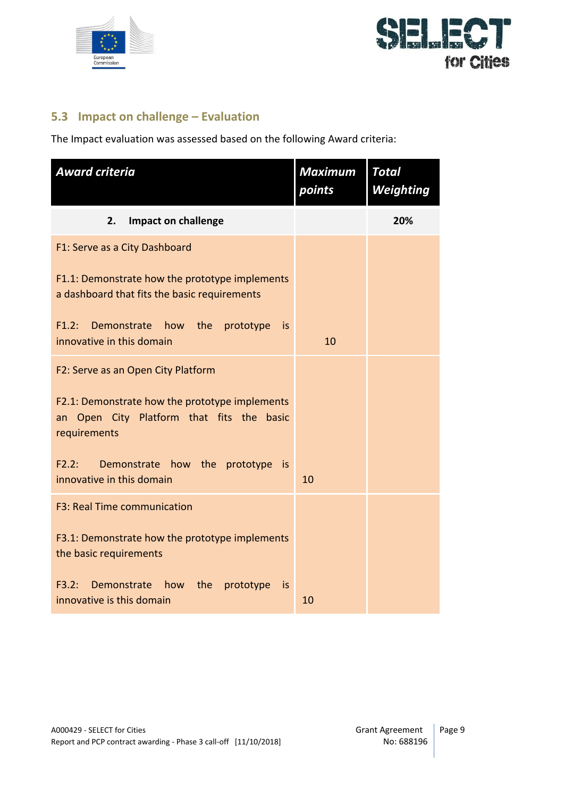



#### <span id="page-8-0"></span>**5.3 Impact on challenge – Evaluation**

The Impact evaluation was assessed based on the following Award criteria:

| <b>Award criteria</b>                                                                                       | <b>Maximum</b><br>points | <b>Total</b><br><b>Weighting</b> |
|-------------------------------------------------------------------------------------------------------------|--------------------------|----------------------------------|
| 2.<br><b>Impact on challenge</b>                                                                            |                          | 20%                              |
| F1: Serve as a City Dashboard                                                                               |                          |                                  |
| F1.1: Demonstrate how the prototype implements<br>a dashboard that fits the basic requirements              |                          |                                  |
| F1.2: Demonstrate<br>the prototype<br>how<br>is<br>innovative in this domain                                | 10                       |                                  |
| F2: Serve as an Open City Platform                                                                          |                          |                                  |
| F2.1: Demonstrate how the prototype implements<br>an Open City Platform that fits the basic<br>requirements |                          |                                  |
| F2.2:<br>Demonstrate how the prototype is<br>innovative in this domain                                      | 10                       |                                  |
| F3: Real Time communication                                                                                 |                          |                                  |
| F3.1: Demonstrate how the prototype implements<br>the basic requirements                                    |                          |                                  |
| F3.2:<br>Demonstrate<br>the<br>how<br>prototype<br><b>is</b><br>innovative is this domain                   | 10                       |                                  |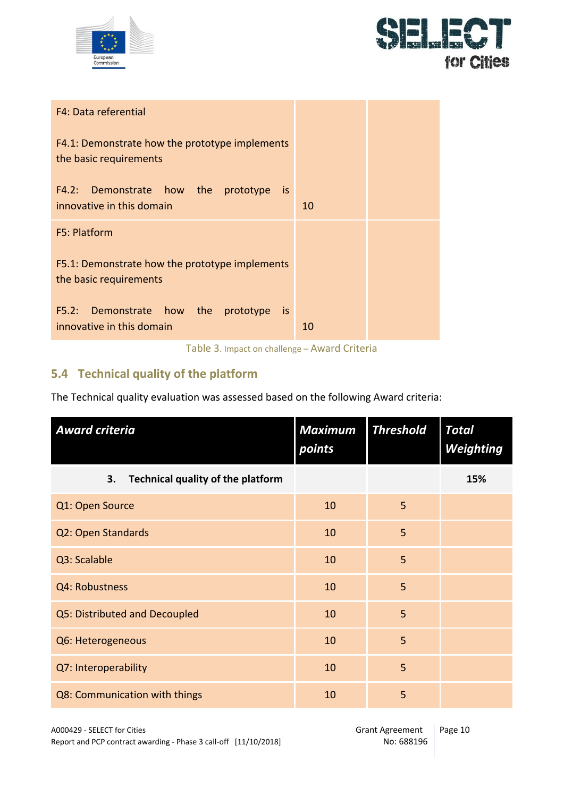



| F4: Data referential                                                     |    |  |
|--------------------------------------------------------------------------|----|--|
| F4.1: Demonstrate how the prototype implements<br>the basic requirements |    |  |
| F4.2: Demonstrate how the prototype is<br>innovative in this domain      | 10 |  |
| F5: Platform                                                             |    |  |
| F5.1: Demonstrate how the prototype implements<br>the basic requirements |    |  |
| F5.2: Demonstrate how the prototype is<br>innovative in this domain      | 10 |  |

Table 3. Impact on challenge – Award Criteria

#### <span id="page-9-0"></span>**5.4 Technical quality of the platform**

The Technical quality evaluation was assessed based on the following Award criteria:

| <b>Award criteria</b>                   | <b>Maximum</b><br>points | <b>Threshold</b> | <b>Total</b><br>Weighting |
|-----------------------------------------|--------------------------|------------------|---------------------------|
| Technical quality of the platform<br>3. |                          |                  | 15%                       |
| Q1: Open Source                         | 10                       | 5                |                           |
| Q2: Open Standards                      | 10                       | 5                |                           |
| Q3: Scalable                            | 10                       | 5                |                           |
| Q4: Robustness                          | 10                       | 5                |                           |
| Q5: Distributed and Decoupled           | 10                       | 5                |                           |
| Q6: Heterogeneous                       | 10                       | 5                |                           |
| Q7: Interoperability                    | 10                       | 5                |                           |
| Q8: Communication with things           | 10                       | 5                |                           |

A000429 - SELECT for Cities<br>Report and PCP contract awarding - Phase 3 call-off [11/10/2018] Crant Agreement Report and PCP contract awarding - Phase 3 call-off [11/10/2018]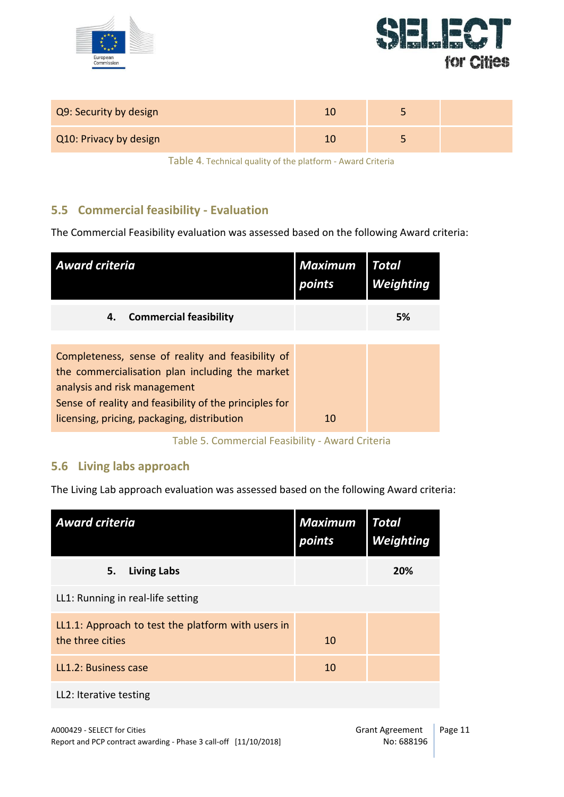



| Q9: Security by design |  |  |
|------------------------|--|--|
| Q10: Privacy by design |  |  |

Table 4. Technical quality of the platform - Award Criteria

#### <span id="page-10-0"></span>**5.5 Commercial feasibility - Evaluation**

The Commercial Feasibility evaluation was assessed based on the following Award criteria:

| <b>Award criteria</b>                                                                                                                                                                                                                         | <b>Maximum</b><br>points | Total<br><b>Weighting</b> |
|-----------------------------------------------------------------------------------------------------------------------------------------------------------------------------------------------------------------------------------------------|--------------------------|---------------------------|
| <b>Commercial feasibility</b><br>4.                                                                                                                                                                                                           |                          | 5%                        |
| Completeness, sense of reality and feasibility of<br>the commercialisation plan including the market<br>analysis and risk management<br>Sense of reality and feasibility of the principles for<br>licensing, pricing, packaging, distribution | 10                       |                           |

#### Table 5. Commercial Feasibility - Award Criteria

#### <span id="page-10-1"></span>**5.6 Living labs approach**

The Living Lab approach evaluation was assessed based on the following Award criteria:

| <b>Award criteria</b>                                                  | <b>Maximum</b><br>points | <b>Total</b><br>Weighting |
|------------------------------------------------------------------------|--------------------------|---------------------------|
| <b>Living Labs</b><br>5.                                               |                          | 20%                       |
| LL1: Running in real-life setting                                      |                          |                           |
| LL1.1: Approach to test the platform with users in<br>the three cities | 10                       |                           |
| LL1.2: Business case                                                   | 10                       |                           |
| LL2: Iterative testing                                                 |                          |                           |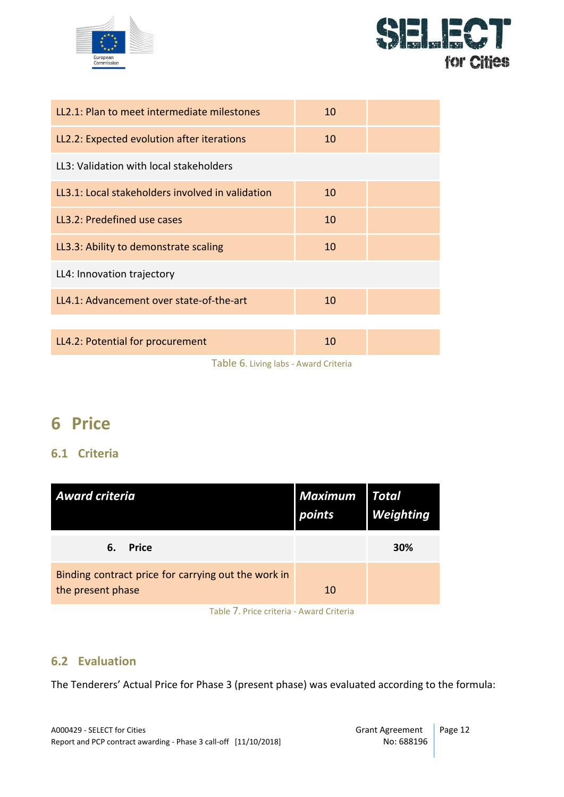



| 10 |  |
|----|--|
| 10 |  |
|    |  |
| 10 |  |
| 10 |  |
| 10 |  |
|    |  |
| 10 |  |
|    |  |
| 10 |  |
|    |  |

Table 6. Living labs - Award Criteria

## <span id="page-11-0"></span>**6 Price**

#### <span id="page-11-1"></span>**6.1 Criteria**

| <b>Award criteria</b>                                                    | <b>Maximum</b><br>points | <b>Total</b><br><b>Weighting</b> |
|--------------------------------------------------------------------------|--------------------------|----------------------------------|
| <b>Price</b><br>6.                                                       |                          | 30%                              |
| Binding contract price for carrying out the work in<br>the present phase | 10                       |                                  |
| Table 7. Price criteria - Award Criteria                                 |                          |                                  |

<span id="page-11-2"></span>**6.2 Evaluation**

The Tenderers' Actual Price for Phase 3 (present phase) was evaluated according to the formula: